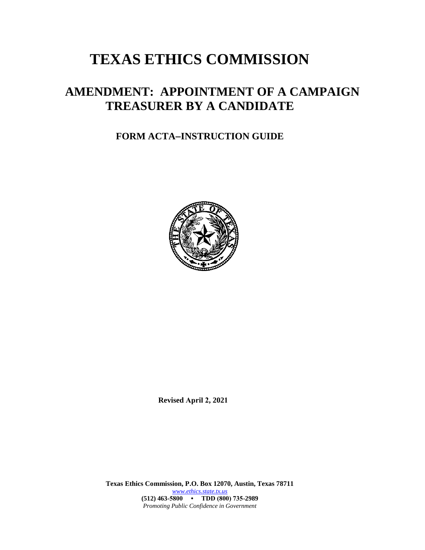# **TEXAS ETHICS COMMISSION**

## **AMENDMENT: APPOINTMENT OF A CAMPAIGN TREASURER BY A CANDIDATE**

## **FORM ACTAINSTRUCTION GUIDE**



**Revised April 2, 2021**

**Texas Ethics Commission, P.O. Box 12070, Austin, Texas 78711** *[www.ethics.state.tx.us](http://www.ethics.state.tx.us/)* **(512) 463-5800 • TDD (800) 735-2989** *Promoting Public Confidence in Government*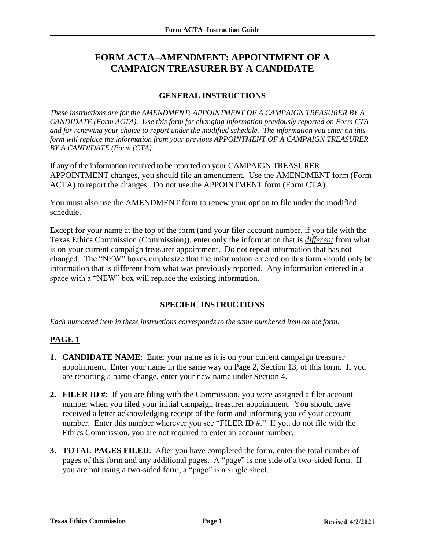### **FORM ACTAAMENDMENT: APPOINTMENT OF A CAMPAIGN TREASURER BY A CANDIDATE**

#### **GENERAL INSTRUCTIONS**

*These instructions are for the AMENDMENT: APPOINTMENT OF A CAMPAIGN TREASURER BY A CANDIDATE (Form ACTA). Use this form for changing information previously reported on Form CTA and for renewing your choice to report under the modified schedule. The information you enter on this form will replace the information from your previous APPOINTMENT OF A CAMPAIGN TREASURER BY A CANDIDATE (Form (CTA).*

If any of the information required to be reported on your CAMPAIGN TREASURER APPOINTMENT changes, you should file an amendment. Use the AMENDMENT form (Form ACTA) to report the changes. Do not use the APPOINTMENT form (Form CTA).

You must also use the AMENDMENT form to renew your option to file under the modified schedule.

Except for your name at the top of the form (and your filer account number, if you file with the Texas Ethics Commission (Commission)), enter only the information that is *different* from what is on your current campaign treasurer appointment. Do not repeat information that has not changed. The "NEW" boxes emphasize that the information entered on this form should only be information that is different from what was previously reported. Any information entered in a space with a "NEW" box will replace the existing information.

#### **SPECIFIC INSTRUCTIONS**

*Each numbered item in these instructions corresponds to the same numbered item on the form.*

#### **PAGE 1**

- **1. CANDIDATE NAME**: Enter your name as it is on your current campaign treasurer appointment. Enter your name in the same way on Page 2, Section 13, of this form. If you are reporting a name change, enter your new name under Section 4.
- **2. FILER ID #**: If you are filing with the Commission, you were assigned a filer account number when you filed your initial campaign treasurer appointment. You should have received a letter acknowledging receipt of the form and informing you of your account number. Enter this number wherever you see "FILER ID #." If you do not file with the Ethics Commission, you are not required to enter an account number.
- **3. TOTAL PAGES FILED**: After you have completed the form, enter the total number of pages of this form and any additional pages. A "page" is one side of a two-sided form. If you are not using a two-sided form, a "page" is a single sheet.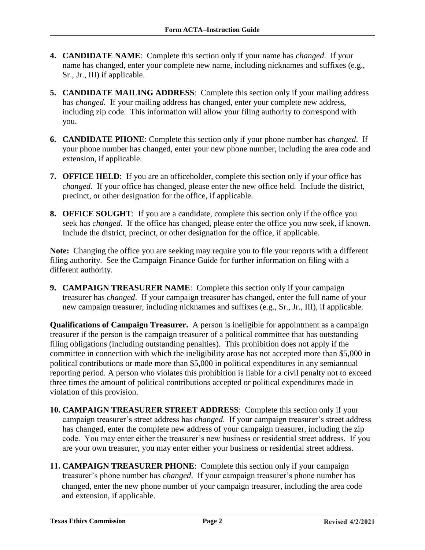- **4. CANDIDATE NAME**: Complete this section only if your name has *changed*. If your name has changed, enter your complete new name, including nicknames and suffixes (e.g., Sr., Jr., III) if applicable.
- **5. CANDIDATE MAILING ADDRESS**: Complete this section only if your mailing address has *changed*. If your mailing address has changed, enter your complete new address, including zip code. This information will allow your filing authority to correspond with you.
- **6. CANDIDATE PHONE**: Complete this section only if your phone number has *changed*. If your phone number has changed, enter your new phone number, including the area code and extension, if applicable.
- **7. OFFICE HELD**: If you are an officeholder, complete this section only if your office has *changed*. If your office has changed, please enter the new office held. Include the district, precinct, or other designation for the office, if applicable.
- **8. OFFICE SOUGHT**: If you are a candidate, complete this section only if the office you seek has *changed*. If the office has changed, please enter the office you now seek, if known. Include the district, precinct, or other designation for the office, if applicable.

**Note:** Changing the office you are seeking may require you to file your reports with a different filing authority. See the Campaign Finance Guide for further information on filing with a different authority.

**9. CAMPAIGN TREASURER NAME**: Complete this section only if your campaign treasurer has *changed*. If your campaign treasurer has changed, enter the full name of your new campaign treasurer, including nicknames and suffixes (e.g., Sr., Jr., III), if applicable.

**Qualifications of Campaign Treasurer.** A person is ineligible for appointment as a campaign treasurer if the person is the campaign treasurer of a political committee that has outstanding filing obligations (including outstanding penalties). This prohibition does not apply if the committee in connection with which the ineligibility arose has not accepted more than \$5,000 in political contributions or made more than \$5,000 in political expenditures in any semiannual reporting period. A person who violates this prohibition is liable for a civil penalty not to exceed three times the amount of political contributions accepted or political expenditures made in violation of this provision.

- **10. CAMPAIGN TREASURER STREET ADDRESS**: Complete this section only if your campaign treasurer's street address has *changed*. If your campaign treasurer's street address has changed, enter the complete new address of your campaign treasurer, including the zip code. You may enter either the treasurer's new business or residential street address. If you are your own treasurer, you may enter either your business or residential street address.
- **11. CAMPAIGN TREASURER PHONE**: Complete this section only if your campaign treasurer's phone number has *changed*. If your campaign treasurer's phone number has changed, enter the new phone number of your campaign treasurer, including the area code and extension, if applicable.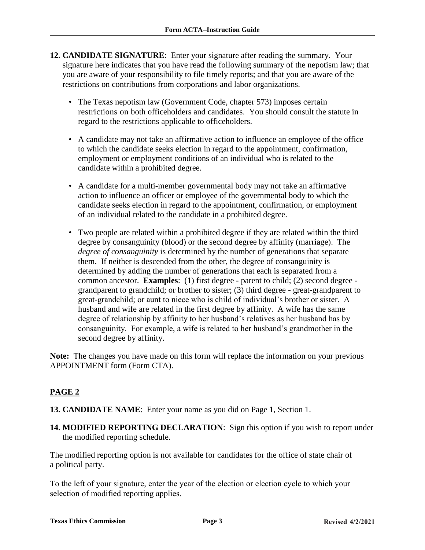- **12. CANDIDATE SIGNATURE**: Enter your signature after reading the summary. Your signature here indicates that you have read the following summary of the nepotism law; that you are aware of your responsibility to file timely reports; and that you are aware of the restrictions on contributions from corporations and labor organizations.
	- The Texas nepotism law (Government Code, chapter 573) imposes certain restrictions on both officeholders and candidates. You should consult the statute in regard to the restrictions applicable to officeholders.
	- A candidate may not take an affirmative action to influence an employee of the office to which the candidate seeks election in regard to the appointment, confirmation, employment or employment conditions of an individual who is related to the candidate within a prohibited degree.
	- A candidate for a multi-member governmental body may not take an affirmative action to influence an officer or employee of the governmental body to which the candidate seeks election in regard to the appointment, confirmation, or employment of an individual related to the candidate in a prohibited degree.
	- Two people are related within a prohibited degree if they are related within the third degree by consanguinity (blood) or the second degree by affinity (marriage). The *degree of consanguinity* is determined by the number of generations that separate them. If neither is descended from the other, the degree of consanguinity is determined by adding the number of generations that each is separated from a common ancestor. **Examples**: (1) first degree - parent to child; (2) second degree grandparent to grandchild; or brother to sister; (3) third degree - great-grandparent to great-grandchild; or aunt to niece who is child of individual's brother or sister. A husband and wife are related in the first degree by affinity. A wife has the same degree of relationship by affinity to her husband's relatives as her husband has by consanguinity. For example, a wife is related to her husband's grandmother in the second degree by affinity.

**Note:** The changes you have made on this form will replace the information on your previous APPOINTMENT form (Form CTA).

#### **PAGE 2**

- **13. CANDIDATE NAME**: Enter your name as you did on Page 1, Section 1.
- **14. MODIFIED REPORTING DECLARATION**: Sign this option if you wish to report under the modified reporting schedule.

The modified reporting option is not available for candidates for the office of state chair of a political party.

To the left of your signature, enter the year of the election or election cycle to which your selection of modified reporting applies.